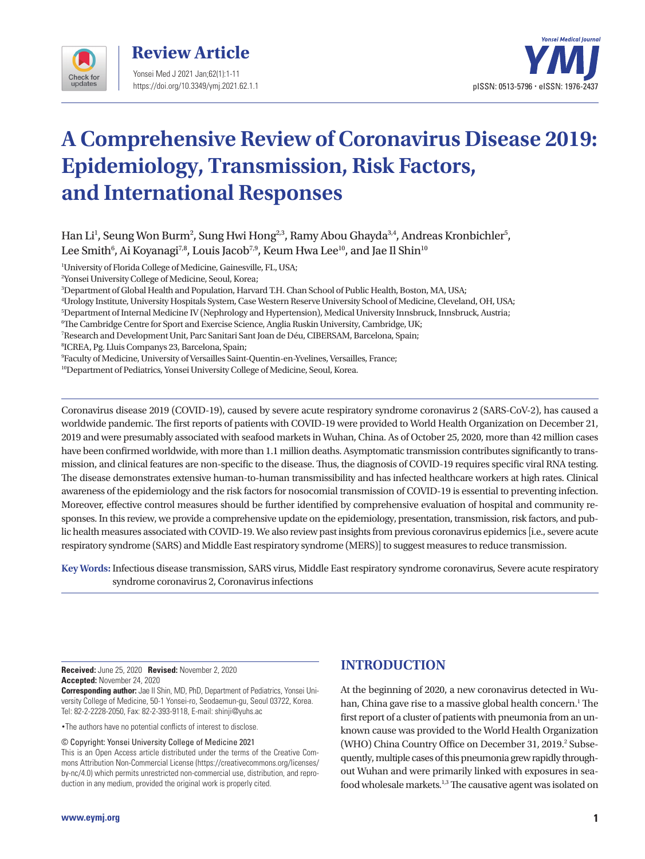



# **A Comprehensive Review of Coronavirus Disease 2019: Epidemiology, Transmission, Risk Factors, and International Responses**

Han Li<sup>1</sup>, Seung Won Burm<sup>2</sup>, Sung Hwi Hong<sup>2,3</sup>, Ramy Abou Ghayda<sup>3,4</sup>, Andreas Kronbichler<sup>5</sup>, Lee Smith $^6$ , Ai Koyanagi $^{7,8}$ , Louis Jacob $^{7,9}$ , Keum Hwa Lee $^{10}$ , and Jae Il Shin $^{10}$ 

1 University of Florida College of Medicine, Gainesville, FL, USA;

2 Yonsei University College of Medicine, Seoul, Korea;

3 Department of Global Health and Population, Harvard T.H. Chan School of Public Health, Boston, MA, USA;

4 Urology Institute, University Hospitals System, Case Western Reserve University School of Medicine, Cleveland, OH, USA;

5 Department of Internal Medicine IV (Nephrology and Hypertension), Medical University Innsbruck, Innsbruck, Austria;

6 The Cambridge Centre for Sport and Exercise Science, Anglia Ruskin University, Cambridge, UK;

7 Research and Development Unit, Parc Sanitari Sant Joan de Déu, CIBERSAM, Barcelona, Spain;

8 ICREA, Pg. Lluis Companys 23, Barcelona, Spain;

9 Faculty of Medicine, University of Versailles Saint-Quentin-en-Yvelines, Versailles, France;

<sup>10</sup>Department of Pediatrics, Yonsei University College of Medicine, Seoul, Korea.

Coronavirus disease 2019 (COVID-19), caused by severe acute respiratory syndrome coronavirus 2 (SARS-CoV-2), has caused a worldwide pandemic. The first reports of patients with COVID-19 were provided to World Health Organization on December 21, 2019 and were presumably associated with seafood markets in Wuhan, China. As of October 25, 2020, more than 42 million cases have been confirmed worldwide, with more than 1.1 million deaths. Asymptomatic transmission contributes significantly to transmission, and clinical features are non-specific to the disease. Thus, the diagnosis of COVID-19 requires specific viral RNA testing. The disease demonstrates extensive human-to-human transmissibility and has infected healthcare workers at high rates. Clinical awareness of the epidemiology and the risk factors for nosocomial transmission of COVID-19 is essential to preventing infection. Moreover, effective control measures should be further identified by comprehensive evaluation of hospital and community responses. In this review, we provide a comprehensive update on the epidemiology, presentation, transmission, risk factors, and public health measures associated with COVID-19. We also review past insights from previous coronavirus epidemics [i.e., severe acute respiratory syndrome (SARS) and Middle East respiratory syndrome (MERS)] to suggest measures to reduce transmission.

**Key Words:**Infectious disease transmission, SARS virus, Middle East respiratory syndrome coronavirus, Severe acute respiratory syndrome coronavirus 2, Coronavirus infections

**Received:** June 25, 2020 **Revised:** November 2, 2020 **Accepted:** November 24, 2020

**Corresponding author:** Jae Il Shin, MD, PhD, Department of Pediatrics, Yonsei University College of Medicine, 50-1 Yonsei-ro, Seodaemun-gu, Seoul 03722, Korea. Tel: 82-2-2228-2050, Fax: 82-2-393-9118, E-mail: shinji@yuhs.ac

•The authors have no potential conflicts of interest to disclose.

© Copyright: Yonsei University College of Medicine 2021

This is an Open Access article distributed under the terms of the Creative Commons Attribution Non-Commercial License (https://creativecommons.org/licenses/ by-nc/4.0) which permits unrestricted non-commercial use, distribution, and reproduction in any medium, provided the original work is properly cited.

# **INTRODUCTION**

At the beginning of 2020, a new coronavirus detected in Wuhan, China gave rise to a massive global health concern.<sup>1</sup> The first report of a cluster of patients with pneumonia from an unknown cause was provided to the World Health Organization (WHO) China Country Office on December 31, 2019.<sup>2</sup> Subsequently, multiple cases of this pneumonia grew rapidly throughout Wuhan and were primarily linked with exposures in seafood wholesale markets.<sup>1,3</sup> The causative agent was isolated on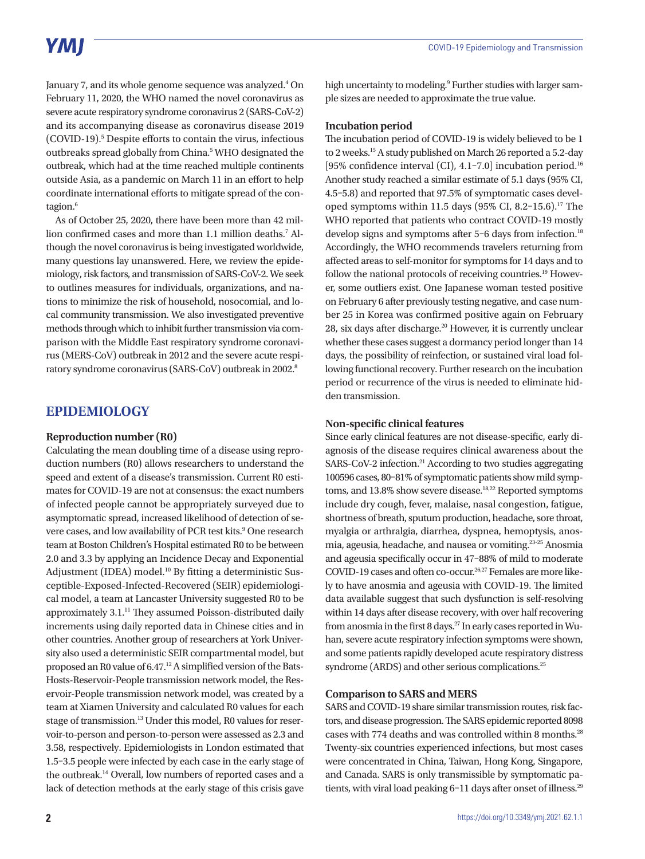# **YMI**

January 7, and its whole genome sequence was analyzed.<sup>4</sup> On February 11, 2020, the WHO named the novel coronavirus as severe acute respiratory syndrome coronavirus 2 (SARS-CoV-2) and its accompanying disease as coronavirus disease 2019 (COVID-19).5 Despite efforts to contain the virus, infectious outbreaks spread globally from China.<sup>5</sup> WHO designated the outbreak, which had at the time reached multiple continents outside Asia, as a pandemic on March 11 in an effort to help coordinate international efforts to mitigate spread of the contagion.<sup>6</sup>

As of October 25, 2020, there have been more than 42 million confirmed cases and more than 1.1 million deaths.7 Although the novel coronavirus is being investigated worldwide, many questions lay unanswered. Here, we review the epidemiology, risk factors, and transmission of SARS-CoV-2. We seek to outlines measures for individuals, organizations, and nations to minimize the risk of household, nosocomial, and local community transmission. We also investigated preventive methods through which to inhibit further transmission via comparison with the Middle East respiratory syndrome coronavirus (MERS-CoV) outbreak in 2012 and the severe acute respiratory syndrome coronavirus (SARS-CoV) outbreak in 2002.8

# **EPIDEMIOLOGY**

#### **Reproduction number (R0)**

Calculating the mean doubling time of a disease using reproduction numbers (R0) allows researchers to understand the speed and extent of a disease's transmission. Current R0 estimates for COVID-19 are not at consensus: the exact numbers of infected people cannot be appropriately surveyed due to asymptomatic spread, increased likelihood of detection of severe cases, and low availability of PCR test kits.<sup>9</sup> One research team at Boston Children's Hospital estimated R0 to be between 2.0 and 3.3 by applying an Incidence Decay and Exponential Adjustment (IDEA) model.<sup>10</sup> By fitting a deterministic Susceptible-Exposed-Infected-Recovered (SEIR) epidemiological model, a team at Lancaster University suggested R0 to be approximately 3.1.<sup>11</sup> They assumed Poisson-distributed daily increments using daily reported data in Chinese cities and in other countries. Another group of researchers at York University also used a deterministic SEIR compartmental model, but proposed an R0 value of 6.47.12 A simplified version of the Bats-Hosts-Reservoir-People transmission network model, the Reservoir-People transmission network model, was created by a team at Xiamen University and calculated R0 values for each stage of transmission.<sup>13</sup> Under this model, R0 values for reservoir-to-person and person-to-person were assessed as 2.3 and 3.58, respectively. Epidemiologists in London estimated that 1.5–3.5 people were infected by each case in the early stage of the outbreak.14 Overall, low numbers of reported cases and a lack of detection methods at the early stage of this crisis gave

high uncertainty to modeling.<sup>9</sup> Further studies with larger sample sizes are needed to approximate the true value.

### **Incubation period**

The incubation period of COVID-19 is widely believed to be 1 to 2 weeks.15 A study published on March 26 reported a 5.2-day [95% confidence interval (CI), 4.1-7.0] incubation period.<sup>16</sup> Another study reached a similar estimate of 5.1 days (95% CI, 4.5–5.8) and reported that 97.5% of symptomatic cases developed symptoms within 11.5 days (95% CI, 8.2-15.6).<sup>17</sup> The WHO reported that patients who contract COVID-19 mostly develop signs and symptoms after 5-6 days from infection.<sup>18</sup> Accordingly, the WHO recommends travelers returning from affected areas to self-monitor for symptoms for 14 days and to follow the national protocols of receiving countries.19 However, some outliers exist. One Japanese woman tested positive on February 6 after previously testing negative, and case number 25 in Korea was confirmed positive again on February 28, six days after discharge.<sup>20</sup> However, it is currently unclear whether these cases suggest a dormancy period longer than 14 days, the possibility of reinfection, or sustained viral load following functional recovery. Further research on the incubation period or recurrence of the virus is needed to eliminate hidden transmission.

### **Non-specific clinical features**

Since early clinical features are not disease-specific, early diagnosis of the disease requires clinical awareness about the SARS-CoV-2 infection.<sup>21</sup> According to two studies aggregating 100596 cases, 80–81% of symptomatic patients show mild symptoms, and 13.8% show severe disease.<sup>18,22</sup> Reported symptoms include dry cough, fever, malaise, nasal congestion, fatigue, shortness of breath, sputum production, headache, sore throat, myalgia or arthralgia, diarrhea, dyspnea, hemoptysis, anosmia, ageusia, headache, and nausea or vomiting.23-25 Anosmia and ageusia specifically occur in 47–88% of mild to moderate COVID-19 cases and often co-occur.26,27 Females are more likely to have anosmia and ageusia with COVID-19. The limited data available suggest that such dysfunction is self-resolving within 14 days after disease recovery, with over half recovering from anosmia in the first 8 days.<sup>27</sup> In early cases reported in Wuhan, severe acute respiratory infection symptoms were shown, and some patients rapidly developed acute respiratory distress syndrome (ARDS) and other serious complications.<sup>25</sup>

## **Comparison to SARS and MERS**

SARS and COVID-19 share similar transmission routes, risk factors, and disease progression. The SARS epidemic reported 8098 cases with 774 deaths and was controlled within 8 months.28 Twenty-six countries experienced infections, but most cases were concentrated in China, Taiwan, Hong Kong, Singapore, and Canada. SARS is only transmissible by symptomatic patients, with viral load peaking 6-11 days after onset of illness.<sup>29</sup>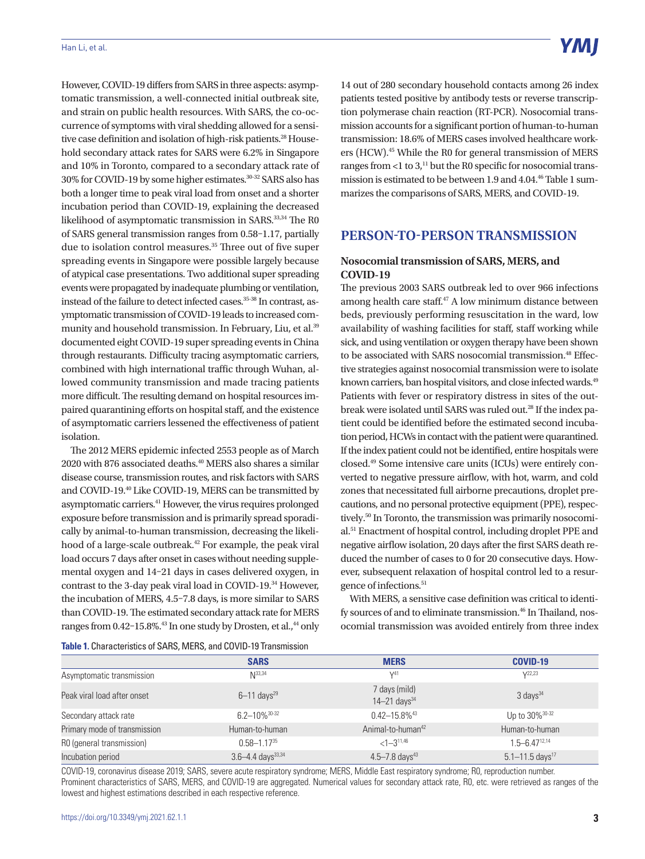#### Han Li, et al.

However, COVID-19 differs from SARS in three aspects: asymptomatic transmission, a well-connected initial outbreak site, and strain on public health resources. With SARS, the co-occurrence of symptoms with viral shedding allowed for a sensitive case definition and isolation of high-risk patients.<sup>28</sup> Household secondary attack rates for SARS were 6.2% in Singapore and 10% in Toronto, compared to a secondary attack rate of 30% for COVID-19 by some higher estimates.30-32 SARS also has both a longer time to peak viral load from onset and a shorter incubation period than COVID-19, explaining the decreased likelihood of asymptomatic transmission in SARS.33,34 The R0 of SARS general transmission ranges from 0.58–1.17, partially due to isolation control measures.<sup>35</sup> Three out of five super spreading events in Singapore were possible largely because of atypical case presentations. Two additional super spreading events were propagated by inadequate plumbing or ventilation, instead of the failure to detect infected cases.<sup>35-38</sup> In contrast, asymptomatic transmission of COVID-19 leads to increased community and household transmission. In February, Liu, et al.<sup>39</sup> documented eight COVID-19 super spreading events in China through restaurants. Difficulty tracing asymptomatic carriers, combined with high international traffic through Wuhan, allowed community transmission and made tracing patients more difficult. The resulting demand on hospital resources impaired quarantining efforts on hospital staff, and the existence of asymptomatic carriers lessened the effectiveness of patient isolation.

The 2012 MERS epidemic infected 2553 people as of March 2020 with 876 associated deaths.40 MERS also shares a similar disease course, transmission routes, and risk factors with SARS and COVID-19.40 Like COVID-19, MERS can be transmitted by asymptomatic carriers.41 However, the virus requires prolonged exposure before transmission and is primarily spread sporadically by animal-to-human transmission, decreasing the likelihood of a large-scale outbreak.42 For example, the peak viral load occurs 7 days after onset in cases without needing supplemental oxygen and 14–21 days in cases delivered oxygen, in contrast to the 3-day peak viral load in COVID-19.34 However, the incubation of MERS, 4.5–7.8 days, is more similar to SARS than COVID-19. The estimated secondary attack rate for MERS ranges from 0.42-15.8%.<sup>43</sup> In one study by Drosten, et al.,<sup>44</sup> only

14 out of 280 secondary household contacts among 26 index patients tested positive by antibody tests or reverse transcription polymerase chain reaction (RT-PCR). Nosocomial transmission accounts for a significant portion of human-to-human transmission: 18.6% of MERS cases involved healthcare workers (HCW).<sup>45</sup> While the R0 for general transmission of MERS ranges from  $<$ 1 to 3,<sup>11</sup> but the R0 specific for nosocomial transmission is estimated to be between 1.9 and 4.04.46 Table 1 summarizes the comparisons of SARS, MERS, and COVID-19.

## **PERSON-TO-PERSON TRANSMISSION**

## **Nosocomial transmission of SARS, MERS, and COVID-19**

The previous 2003 SARS outbreak led to over 966 infections among health care staff.47 A low minimum distance between beds, previously performing resuscitation in the ward, low availability of washing facilities for staff, staff working while sick, and using ventilation or oxygen therapy have been shown to be associated with SARS nosocomial transmission.<sup>48</sup> Effective strategies against nosocomial transmission were to isolate known carriers, ban hospital visitors, and close infected wards.<sup>49</sup> Patients with fever or respiratory distress in sites of the outbreak were isolated until SARS was ruled out.<sup>28</sup> If the index patient could be identified before the estimated second incubation period, HCWs in contact with the patient were quarantined. If the index patient could not be identified, entire hospitals were closed.49 Some intensive care units (ICUs) were entirely converted to negative pressure airflow, with hot, warm, and cold zones that necessitated full airborne precautions, droplet precautions, and no personal protective equipment (PPE), respectively.<sup>50</sup> In Toronto, the transmission was primarily nosocomial.51 Enactment of hospital control, including droplet PPE and negative airflow isolation, 20 days after the first SARS death reduced the number of cases to 0 for 20 consecutive days. However, subsequent relaxation of hospital control led to a resurgence of infections.51

With MERS, a sensitive case definition was critical to identify sources of and to eliminate transmission.<sup>46</sup> In Thailand, nosocomial transmission was avoided entirely from three index

**Table 1.** Characteristics of SARS, MERS, and COVID-19 Transmission

| <b>TODIO 1.</b> OTHER DECISION OF ONE HO, INTERIO, GITA OO VID TO TRENOMING. |                                   |                                               |                                 |  |
|------------------------------------------------------------------------------|-----------------------------------|-----------------------------------------------|---------------------------------|--|
|                                                                              | <b>SARS</b>                       | <b>MERS</b>                                   | <b>COVID-19</b>                 |  |
| Asymptomatic transmission                                                    | $N^{33,34}$                       | V <sup>41</sup>                               | $V^{22,23}$                     |  |
| Peak viral load after onset                                                  | $6 - 11$ days <sup>29</sup>       | 7 days (mild)<br>$14 - 21$ days <sup>34</sup> | $3$ days <sup>34</sup>          |  |
| Secondary attack rate                                                        | 6 2 - 10% 30-32                   | $0.42 - 15.8\%$ <sup>43</sup>                 | Up to 30% <sup>30-32</sup>      |  |
| Primary mode of transmission                                                 | Human-to-human                    | Animal-to-human <sup>42</sup>                 | Human-to-human                  |  |
| R0 (general transmission)                                                    | $0.58 - 1.17^{35}$                | $<$ 1-3 <sup>11,46</sup>                      | $1.5 - 6.47^{12,14}$            |  |
| Incubation period                                                            | $3.6 - 4.4$ days <sup>33,34</sup> | $4.5 - 7.8$ days <sup>43</sup>                | $5.1 - 11.5$ days <sup>17</sup> |  |

COVID-19, coronavirus disease 2019; SARS, severe acute respiratory syndrome; MERS, Middle East respiratory syndrome; R0, reproduction number. Prominent characteristics of SARS, MERS, and COVID-19 are aggregated. Numerical values for secondary attack rate, R0, etc. were retrieved as ranges of the lowest and highest estimations described in each respective reference.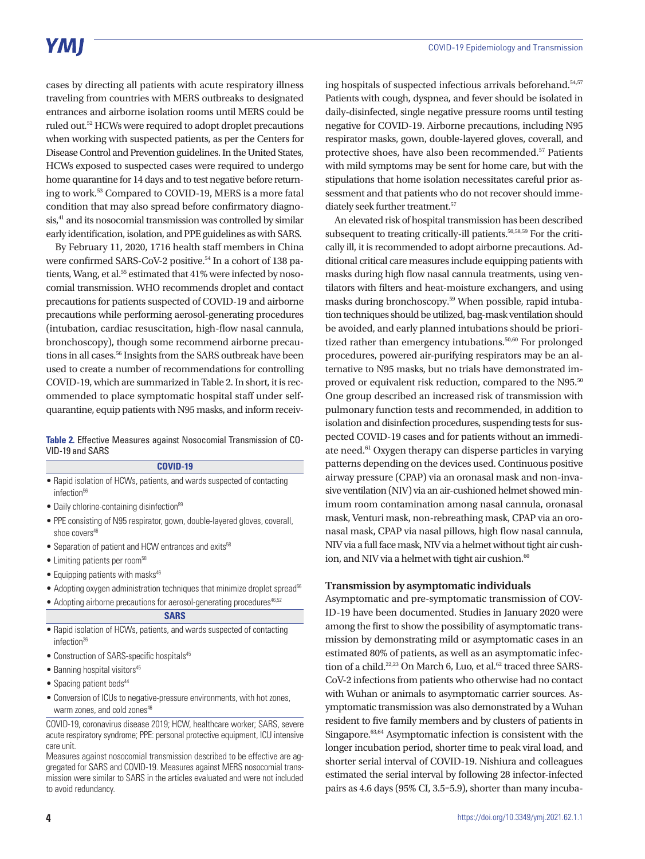cases by directing all patients with acute respiratory illness traveling from countries with MERS outbreaks to designated entrances and airborne isolation rooms until MERS could be ruled out.52 HCWs were required to adopt droplet precautions when working with suspected patients, as per the Centers for Disease Control and Prevention guidelines. In the United States, HCWs exposed to suspected cases were required to undergo home quarantine for 14 days and to test negative before returning to work.53 Compared to COVID-19, MERS is a more fatal condition that may also spread before confirmatory diagnosis,<sup>41</sup> and its nosocomial transmission was controlled by similar early identification, isolation, and PPE guidelines as with SARS.

By February 11, 2020, 1716 health staff members in China were confirmed SARS-CoV-2 positive.<sup>54</sup> In a cohort of 138 patients, Wang, et al.<sup>55</sup> estimated that 41% were infected by nosocomial transmission. WHO recommends droplet and contact precautions for patients suspected of COVID-19 and airborne precautions while performing aerosol-generating procedures (intubation, cardiac resuscitation, high-flow nasal cannula, bronchoscopy), though some recommend airborne precautions in all cases.<sup>56</sup> Insights from the SARS outbreak have been used to create a number of recommendations for controlling COVID-19, which are summarized in Table 2. In short, it is recommended to place symptomatic hospital staff under selfquarantine, equip patients with N95 masks, and inform receiv-

#### **Table 2.** Effective Measures against Nosocomial Transmission of CO-VID-19 and SARS

#### **COVID-19**

- Rapid isolation of HCWs, patients, and wards suspected of contacting infection<sup>56</sup>
- Daily chlorine-containing disinfection<sup>89</sup>
- PPE consisting of N95 respirator, gown, double-layered gloves, coverall, shoe covers<sup>46</sup>
- Separation of patient and HCW entrances and exits<sup>58</sup>
- Limiting patients per room<sup>58</sup>
- $\bullet$  Equipping patients with masks<sup>46</sup>
- Adopting oxygen administration techniques that minimize droplet spread<sup>56</sup>
- Adopting airborne precautions for aerosol-generating procedures<sup>46,52</sup>

#### **SARS**

- Rapid isolation of HCWs, patients, and wards suspected of contacting infection<sup>26</sup>
- Construction of SARS-specific hospitals<sup>45</sup>
- $\bullet$  Banning hospital visitors<sup>45</sup>
- Spacing patient beds<sup>44</sup>
- Conversion of ICUs to negative-pressure environments, with hot zones, warm zones, and cold zones<sup>46</sup>

COVID-19, coronavirus disease 2019; HCW, healthcare worker; SARS, severe acute respiratory syndrome; PPE: personal protective equipment, ICU intensive care unit.

Measures against nosocomial transmission described to be effective are aggregated for SARS and COVID-19. Measures against MERS nosocomial transmission were similar to SARS in the articles evaluated and were not included to avoid redundancy.

ing hospitals of suspected infectious arrivals beforehand.<sup>54,57</sup> Patients with cough, dyspnea, and fever should be isolated in daily-disinfected, single negative pressure rooms until testing negative for COVID-19. Airborne precautions, including N95 respirator masks, gown, double-layered gloves, coverall, and protective shoes, have also been recommended.57 Patients with mild symptoms may be sent for home care, but with the stipulations that home isolation necessitates careful prior assessment and that patients who do not recover should immediately seek further treatment.<sup>57</sup>

An elevated risk of hospital transmission has been described subsequent to treating critically-ill patients.<sup>50,58,59</sup> For the critically ill, it is recommended to adopt airborne precautions. Additional critical care measures include equipping patients with masks during high flow nasal cannula treatments, using ventilators with filters and heat-moisture exchangers, and using masks during bronchoscopy.59 When possible, rapid intubation techniques should be utilized, bag-mask ventilation should be avoided, and early planned intubations should be prioritized rather than emergency intubations.<sup>50,60</sup> For prolonged procedures, powered air-purifying respirators may be an alternative to N95 masks, but no trials have demonstrated improved or equivalent risk reduction, compared to the N95.<sup>50</sup> One group described an increased risk of transmission with pulmonary function tests and recommended, in addition to isolation and disinfection procedures, suspending tests for suspected COVID-19 cases and for patients without an immediate need.61 Oxygen therapy can disperse particles in varying patterns depending on the devices used. Continuous positive airway pressure (CPAP) via an oronasal mask and non-invasive ventilation (NIV) via an air-cushioned helmet showed minimum room contamination among nasal cannula, oronasal mask, Venturi mask, non-rebreathing mask, CPAP via an oronasal mask, CPAP via nasal pillows, high flow nasal cannula, NIV via a full face mask, NIV via a helmet without tight air cushion, and NIV via a helmet with tight air cushion. $60$ 

#### **Transmission by asymptomatic individuals**

Asymptomatic and pre-symptomatic transmission of COV-ID-19 have been documented. Studies in January 2020 were among the first to show the possibility of asymptomatic transmission by demonstrating mild or asymptomatic cases in an estimated 80% of patients, as well as an asymptomatic infection of a child.<sup>22,23</sup> On March 6, Luo, et al.<sup>62</sup> traced three SARS-CoV-2 infections from patients who otherwise had no contact with Wuhan or animals to asymptomatic carrier sources. Asymptomatic transmission was also demonstrated by a Wuhan resident to five family members and by clusters of patients in Singapore.<sup>63,64</sup> Asymptomatic infection is consistent with the longer incubation period, shorter time to peak viral load, and shorter serial interval of COVID-19. Nishiura and colleagues estimated the serial interval by following 28 infector-infected pairs as 4.6 days (95% CI, 3.5–5.9), shorter than many incuba-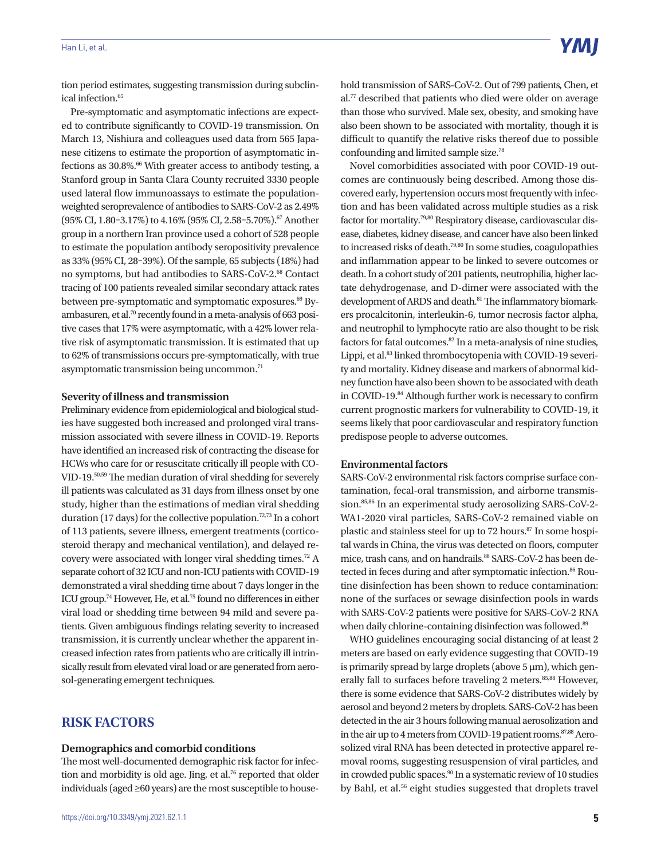#### Han Li, et al.

tion period estimates, suggesting transmission during subclinical infection.<sup>65</sup>

Pre-symptomatic and asymptomatic infections are expected to contribute significantly to COVID-19 transmission. On March 13, Nishiura and colleagues used data from 565 Japanese citizens to estimate the proportion of asymptomatic infections as  $30.8\%$ .<sup>66</sup> With greater access to antibody testing, a Stanford group in Santa Clara County recruited 3330 people used lateral flow immunoassays to estimate the populationweighted seroprevalence of antibodies to SARS-CoV-2 as 2.49% (95% CI, 1.80-3.17%) to 4.16% (95% CI, 2.58-5.70%).<sup>67</sup> Another group in a northern Iran province used a cohort of 528 people to estimate the population antibody seropositivity prevalence as 33% (95% CI, 28–39%). Of the sample, 65 subjects (18%) had no symptoms, but had antibodies to SARS-CoV-2.68 Contact tracing of 100 patients revealed similar secondary attack rates between pre-symptomatic and symptomatic exposures.<sup>69</sup> Byambasuren, et al.<sup>70</sup> recently found in a meta-analysis of 663 positive cases that 17% were asymptomatic, with a 42% lower relative risk of asymptomatic transmission. It is estimated that up to 62% of transmissions occurs pre-symptomatically, with true asymptomatic transmission being uncommon.<sup>71</sup>

#### **Severity of illness and transmission**

Preliminary evidence from epidemiological and biological studies have suggested both increased and prolonged viral transmission associated with severe illness in COVID-19. Reports have identified an increased risk of contracting the disease for HCWs who care for or resuscitate critically ill people with CO-VID-19.50,59 The median duration of viral shedding for severely ill patients was calculated as 31 days from illness onset by one study, higher than the estimations of median viral shedding duration (17 days) for the collective population.<sup>72,73</sup> In a cohort of 113 patients, severe illness, emergent treatments (corticosteroid therapy and mechanical ventilation), and delayed recovery were associated with longer viral shedding times.<sup>72</sup> A separate cohort of 32 ICU and non-ICU patients with COVID-19 demonstrated a viral shedding time about 7 days longer in the ICU group.74 However, He, et al.75 found no differences in either viral load or shedding time between 94 mild and severe patients. Given ambiguous findings relating severity to increased transmission, it is currently unclear whether the apparent increased infection rates from patients who are critically ill intrinsically result from elevated viral load or are generated from aerosol-generating emergent techniques.

## **RISK FACTORS**

#### **Demographics and comorbid conditions**

The most well-documented demographic risk factor for infection and morbidity is old age. Jing, et al.<sup>76</sup> reported that older individuals (aged ≥60 years) are the most susceptible to household transmission of SARS-CoV-2. Out of 799 patients, Chen, et al.77 described that patients who died were older on average than those who survived. Male sex, obesity, and smoking have also been shown to be associated with mortality, though it is difficult to quantify the relative risks thereof due to possible confounding and limited sample size.78

Novel comorbidities associated with poor COVID-19 outcomes are continuously being described. Among those discovered early, hypertension occurs most frequently with infection and has been validated across multiple studies as a risk factor for mortality.79,80 Respiratory disease, cardiovascular disease, diabetes, kidney disease, and cancer have also been linked to increased risks of death.79,80 In some studies, coagulopathies and inflammation appear to be linked to severe outcomes or death. In a cohort study of 201 patients, neutrophilia, higher lactate dehydrogenase, and D-dimer were associated with the development of ARDS and death.<sup>81</sup> The inflammatory biomarkers procalcitonin, interleukin-6, tumor necrosis factor alpha, and neutrophil to lymphocyte ratio are also thought to be risk factors for fatal outcomes.<sup>82</sup> In a meta-analysis of nine studies, Lippi, et al.<sup>83</sup> linked thrombocytopenia with COVID-19 severity and mortality. Kidney disease and markers of abnormal kidney function have also been shown to be associated with death in COVID-19.<sup>84</sup> Although further work is necessary to confirm current prognostic markers for vulnerability to COVID-19, it seems likely that poor cardiovascular and respiratory function predispose people to adverse outcomes.

### **Environmental factors**

SARS-CoV-2 environmental risk factors comprise surface contamination, fecal-oral transmission, and airborne transmission.<sup>85,86</sup> In an experimental study aerosolizing SARS-CoV-2-WA1-2020 viral particles, SARS-CoV-2 remained viable on plastic and stainless steel for up to 72 hours.<sup>87</sup> In some hospital wards in China, the virus was detected on floors, computer mice, trash cans, and on handrails.<sup>88</sup> SARS-CoV-2 has been detected in feces during and after symptomatic infection.<sup>86</sup> Routine disinfection has been shown to reduce contamination: none of the surfaces or sewage disinfection pools in wards with SARS-CoV-2 patients were positive for SARS-CoV-2 RNA when daily chlorine-containing disinfection was followed.<sup>89</sup>

WHO guidelines encouraging social distancing of at least 2 meters are based on early evidence suggesting that COVID-19 is primarily spread by large droplets (above  $5 \mu m$ ), which generally fall to surfaces before traveling 2 meters.<sup>85,88</sup> However, there is some evidence that SARS-CoV-2 distributes widely by aerosol and beyond 2 meters by droplets. SARS-CoV-2 has been detected in the air 3 hours following manual aerosolization and in the air up to 4 meters from COVID-19 patient rooms.<sup>87,88</sup> Aerosolized viral RNA has been detected in protective apparel removal rooms, suggesting resuspension of viral particles, and in crowded public spaces.<sup>90</sup> In a systematic review of 10 studies by Bahl, et al.<sup>56</sup> eight studies suggested that droplets travel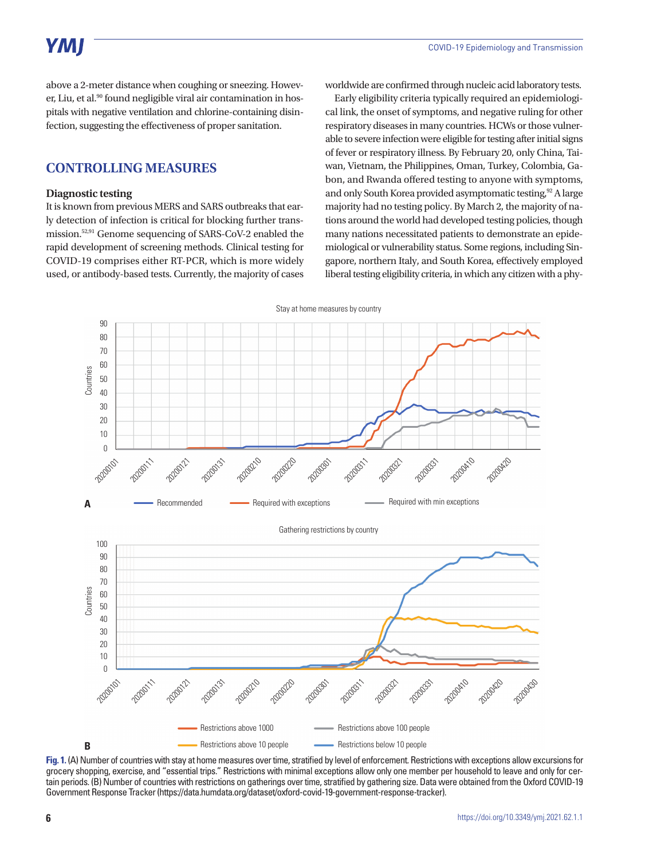above a 2-meter distance when coughing or sneezing. However, Liu, et al.<sup>90</sup> found negligible viral air contamination in hospitals with negative ventilation and chlorine-containing disinfection, suggesting the effectiveness of proper sanitation.

## **CONTROLLING MEASURES**

#### **Diagnostic testing**

It is known from previous MERS and SARS outbreaks that early detection of infection is critical for blocking further transmission.52,91 Genome sequencing of SARS-CoV-2 enabled the rapid development of screening methods. Clinical testing for COVID-19 comprises either RT-PCR, which is more widely used, or antibody-based tests. Currently, the majority of cases worldwide are confirmed through nucleic acid laboratory tests.

Early eligibility criteria typically required an epidemiological link, the onset of symptoms, and negative ruling for other respiratory diseases in many countries. HCWs or those vulnerable to severe infection were eligible for testing after initial signs of fever or respiratory illness. By February 20, only China, Taiwan, Vietnam, the Philippines, Oman, Turkey, Colombia, Gabon, and Rwanda offered testing to anyone with symptoms, and only South Korea provided asymptomatic testing,<sup>92</sup> A large majority had no testing policy. By March 2, the majority of nations around the world had developed testing policies, though many nations necessitated patients to demonstrate an epidemiological or vulnerability status. Some regions, including Singapore, northern Italy, and South Korea, effectively employed liberal testing eligibility criteria, in which any citizen with a phy-



**Fig. 1.** (A) Number of countries with stay at home measures over time, stratified by level of enforcement. Restrictions with exceptions allow excursions for grocery shopping, exercise, and "essential trips." Restrictions with minimal exceptions allow only one member per household to leave and only for certain periods. (B) Number of countries with restrictions on gatherings over time, stratified by gathering size. Data were obtained from the Oxford COVID-19 Government Response Tracker (https://data.humdata.org/dataset/oxford-covid-19-government-response-tracker).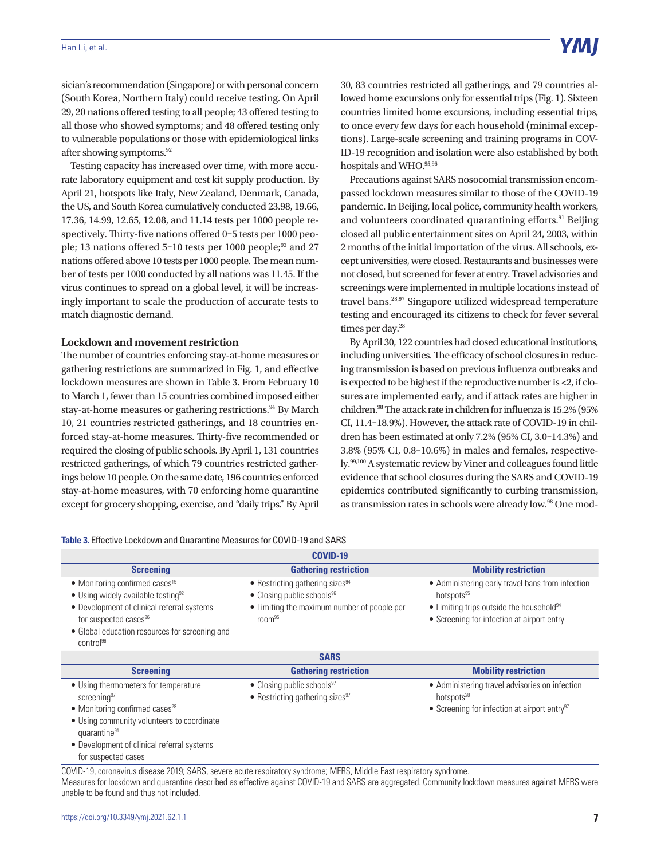sician's recommendation (Singapore) or with personal concern (South Korea, Northern Italy) could receive testing. On April 29, 20 nations offered testing to all people; 43 offered testing to all those who showed symptoms; and 48 offered testing only to vulnerable populations or those with epidemiological links after showing symptoms.92

Testing capacity has increased over time, with more accurate laboratory equipment and test kit supply production. By April 21, hotspots like Italy, New Zealand, Denmark, Canada, the US, and South Korea cumulatively conducted 23.98, 19.66, 17.36, 14.99, 12.65, 12.08, and 11.14 tests per 1000 people respectively. Thirty-five nations offered 0–5 tests per 1000 people; 13 nations offered  $5-10$  tests per 1000 people; $^{93}$  and 27 nations offered above 10 tests per 1000 people. The mean number of tests per 1000 conducted by all nations was 11.45. If the virus continues to spread on a global level, it will be increasingly important to scale the production of accurate tests to match diagnostic demand.

#### **Lockdown and movement restriction**

The number of countries enforcing stay-at-home measures or gathering restrictions are summarized in Fig. 1, and effective lockdown measures are shown in Table 3. From February 10 to March 1, fewer than 15 countries combined imposed either stay-at-home measures or gathering restrictions.<sup>94</sup> By March 10, 21 countries restricted gatherings, and 18 countries enforced stay-at-home measures. Thirty-five recommended or required the closing of public schools. By April 1, 131 countries restricted gatherings, of which 79 countries restricted gatherings below 10 people. On the same date, 196 countries enforced stay-at-home measures, with 70 enforcing home quarantine except for grocery shopping, exercise, and "daily trips." By April 30, 83 countries restricted all gatherings, and 79 countries allowed home excursions only for essential trips (Fig. 1). Sixteen countries limited home excursions, including essential trips, to once every few days for each household (minimal exceptions). Large-scale screening and training programs in COV-ID-19 recognition and isolation were also established by both hospitals and WHO. 95,96

Precautions against SARS nosocomial transmission encompassed lockdown measures similar to those of the COVID-19 pandemic. In Beijing, local police, community health workers, and volunteers coordinated quarantining efforts.<sup>91</sup> Beijing closed all public entertainment sites on April 24, 2003, within 2 months of the initial importation of the virus. All schools, except universities, were closed. Restaurants and businesses were not closed, but screened for fever at entry. Travel advisories and screenings were implemented in multiple locations instead of travel bans.28,97 Singapore utilized widespread temperature testing and encouraged its citizens to check for fever several times per day.<sup>28</sup>

By April 30, 122 countries had closed educational institutions, including universities. The efficacy of school closures in reducing transmission is based on previous influenza outbreaks and is expected to be highest if the reproductive number is <2, if closures are implemented early, and if attack rates are higher in children.98 The attack rate in children for influenza is 15.2% (95% CI, 11.4–18.9%). However, the attack rate of COVID-19 in children has been estimated at only 7.2% (95% CI, 3.0–14.3%) and 3.8% (95% CI, 0.8–10.6%) in males and females, respectively.99,100 A systematic review by Viner and colleagues found little evidence that school closures during the SARS and COVID-19 epidemics contributed significantly to curbing transmission, as transmission rates in schools were already low.<sup>98</sup> One mod-

| Table 3. Effective Lockdown and Quarantine Measures for COVID-19 and SARS |  |
|---------------------------------------------------------------------------|--|
|---------------------------------------------------------------------------|--|

| <b>COVID-19</b>                                                                                                                                                                                                                                                            |                                                                                                                                                            |                                                                                                                                                                                  |  |  |
|----------------------------------------------------------------------------------------------------------------------------------------------------------------------------------------------------------------------------------------------------------------------------|------------------------------------------------------------------------------------------------------------------------------------------------------------|----------------------------------------------------------------------------------------------------------------------------------------------------------------------------------|--|--|
| <b>Screening</b>                                                                                                                                                                                                                                                           | <b>Gathering restriction</b>                                                                                                                               | <b>Mobility restriction</b>                                                                                                                                                      |  |  |
| $\bullet$ Monitoring confirmed cases <sup>19</sup><br>$\bullet$ Using widely available testing <sup>92</sup><br>• Development of clinical referral systems<br>for suspected cases <sup>96</sup><br>• Global education resources for screening and<br>control <sup>96</sup> | • Restricting gathering sizes <sup>94</sup><br>• Closing public schools <sup>96</sup><br>• Limiting the maximum number of people per<br>room <sup>95</sup> | • Administering early travel bans from infection<br>hotspots <sup>95</sup><br>• Limiting trips outside the household <sup>94</sup><br>• Screening for infection at airport entry |  |  |
| <b>SARS</b>                                                                                                                                                                                                                                                                |                                                                                                                                                            |                                                                                                                                                                                  |  |  |
| <b>Screening</b>                                                                                                                                                                                                                                                           | <b>Gathering restriction</b>                                                                                                                               | <b>Mobility restriction</b>                                                                                                                                                      |  |  |
| • Using thermometers for temperature<br>screening <sup>97</sup><br>$\bullet$ Monitoring confirmed cases <sup>28</sup><br>医心脏性溃疡 医心包 医心包 医心包性 医心脏 医血管反应 计自动方式 医心脏性 医血管                                                                                                      | • Closing public schools <sup>97</sup><br>• Restricting gathering sizes <sup>97</sup>                                                                      | • Administering travel advisories on infection<br>hotspots <sup>28</sup><br>• Screening for infection at airport entry <sup>97</sup>                                             |  |  |

• Using community volunteers to coordinate quarantine<sup>91</sup>

• Development of clinical referral systems for suspected cases

COVID-19, coronavirus disease 2019; SARS, severe acute respiratory syndrome; MERS, Middle East respiratory syndrome. Measures for lockdown and quarantine described as effective against COVID-19 and SARS are aggregated. Community lockdown measures against MERS were unable to be found and thus not included.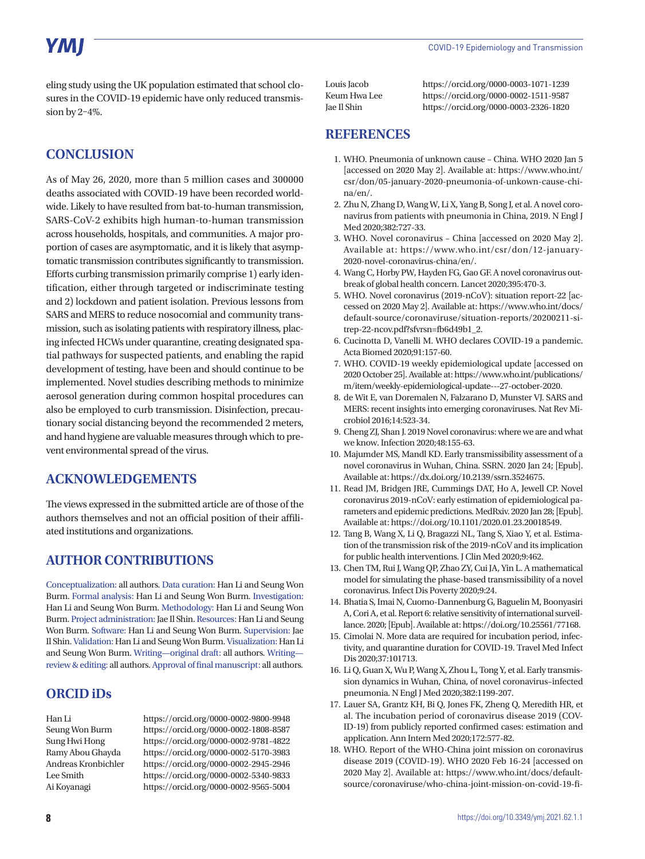eling study using the UK population estimated that school closures in the COVID-19 epidemic have only reduced transmission by 2–4%.

# **CONCLUSION**

As of May 26, 2020, more than 5 million cases and 300000 deaths associated with COVID-19 have been recorded worldwide. Likely to have resulted from bat-to-human transmission, SARS-CoV-2 exhibits high human-to-human transmission across households, hospitals, and communities. A major proportion of cases are asymptomatic, and it is likely that asymptomatic transmission contributes significantly to transmission. Efforts curbing transmission primarily comprise 1) early identification, either through targeted or indiscriminate testing and 2) lockdown and patient isolation. Previous lessons from SARS and MERS to reduce nosocomial and community transmission, such as isolating patients with respiratory illness, placing infected HCWs under quarantine, creating designated spatial pathways for suspected patients, and enabling the rapid development of testing, have been and should continue to be implemented. Novel studies describing methods to minimize aerosol generation during common hospital procedures can also be employed to curb transmission. Disinfection, precautionary social distancing beyond the recommended 2 meters, and hand hygiene are valuable measures through which to prevent environmental spread of the virus.

## **ACKNOWLEDGEMENTS**

The views expressed in the submitted article are of those of the authors themselves and not an official position of their affiliated institutions and organizations.

# **AUTHOR CONTRIBUTIONS**

Conceptualization: all authors. Data curation: Han Li and Seung Won Burm. Formal analysis: Han Li and Seung Won Burm. Investigation: Han Li and Seung Won Burm. Methodology: Han Li and Seung Won Burm. Project administration: Jae Il Shin. Resources: Han Li and Seung Won Burm. Software: Han Li and Seung Won Burm. Supervision: Jae Il Shin. Validation: Han Li and Seung Won Burm. Visualization: Han Li and Seung Won Burm. Writing—original draft: all authors. Writing review & editing: all authors. Approval of final manuscript: all authors.

# **ORCID iDs**

Han Li https://orcid.org/0000-0002-9800-9948 Seung Won Burm https://orcid.org/0000-0002-1808-8587 Sung Hwi Hong https://orcid.org/0000-0002-9781-4822 Ramy Abou Ghayda https://orcid.org/0000-0002-5170-3983 Andreas Kronbichler https://orcid.org/0000-0002-2945-2946 Lee Smith https://orcid.org/0000-0002-5340-9833 Ai Koyanagi https://orcid.org/0000-0002-9565-5004

Louis Jacob https://orcid.org/0000-0003-1071-1239 Keum Hwa Lee https://orcid.org/0000-0002-1511-9587 Jae Il Shin https://orcid.org/0000-0003-2326-1820

## **REFERENCES**

- 1. WHO. Pneumonia of unknown cause China. WHO 2020 Jan 5 [accessed on 2020 May 2]. Available at: [https://www.who.int/](https://www.who.int/csr/don/05-january-2020-pneumonia-of-unkown-cause-china/en/) [csr/don/05-january-2020-pneumonia-of-unkown-cause-chi](https://www.who.int/csr/don/05-january-2020-pneumonia-of-unkown-cause-china/en/)[na/en/.](https://www.who.int/csr/don/05-january-2020-pneumonia-of-unkown-cause-china/en/)
- 2. Zhu N, Zhang D, Wang W, Li X, Yang B, Song J, et al. A novel coronavirus from patients with pneumonia in China, 2019. N Engl J Med 2020;382:727-33.
- 3. WHO. Novel coronavirus China [accessed on 2020 May 2]. Available at: [https://www.who.int/csr/don/12-january-](https://www.who.int/csr/don/12-january-2020-novel-coronavirus-china/en/)[2020-novel-coronavirus-china/en/](https://www.who.int/csr/don/12-january-2020-novel-coronavirus-china/en/).
- 4. Wang C, Horby PW, Hayden FG, Gao GF. A novel coronavirus outbreak of global health concern. Lancet 2020;395:470-3.
- 5. WHO. Novel coronavirus (2019-nCoV): situation report-22 [accessed on 2020 May 2]. Available at: [https://www.who.int/docs/](https://www.who.int/docs/default-source/coronaviruse/situation-reports/20200211-sitrep-22-ncov.pdf?sfvrsn=fb6d49b1_2) [default-source/coronaviruse/situation-reports/20200211-si](https://www.who.int/docs/default-source/coronaviruse/situation-reports/20200211-sitrep-22-ncov.pdf?sfvrsn=fb6d49b1_2)[trep-22-ncov.pdf?sfvrsn=fb6d49b1\\_2.](https://www.who.int/docs/default-source/coronaviruse/situation-reports/20200211-sitrep-22-ncov.pdf?sfvrsn=fb6d49b1_2)
- 6. Cucinotta D, Vanelli M. WHO declares COVID-19 a pandemic. Acta Biomed 2020;91:157-60.
- 7. WHO. COVID-19 weekly epidemiological update [accessed on 2020 October 25]. Available at: [https://www.who.int/publications/](https://www.who.int/publications/m/item/weekly-epidemiological-update---27-october-2020) [m/item/weekly-epidemiological-update---27-october-2020.](https://www.who.int/publications/m/item/weekly-epidemiological-update---27-october-2020)
- 8. de Wit E, van Doremalen N, Falzarano D, Munster VJ. SARS and MERS: recent insights into emerging coronaviruses. Nat Rev Microbiol 2016;14:523-34.
- 9. Cheng ZJ, Shan J. 2019 Novel coronavirus: where we are and what we know. Infection 2020;48:155-63.
- 10. Majumder MS, Mandl KD. Early transmissibility assessment of a novel coronavirus in Wuhan, China. SSRN. 2020 Jan 24; [Epub]. Available at:<https://dx.doi.org/10.2139/ssrn.3524675>.
- 11. Read JM, Bridgen JRE, Cummings DAT, Ho A, Jewell CP. Novel coronavirus 2019-nCoV: early estimation of epidemiological parameters and epidemic predictions. MedRxiv. 2020 Jan 28; [Epub]. Available at: [https://doi.org/10.1101/2020.01.23.20018549.](https://doi.org/10.1101/2020.01.23.20018549)
- 12. Tang B, Wang X, Li Q, Bragazzi NL, Tang S, Xiao Y, et al. Estimation of the transmission risk of the 2019-nCoV and its implication for public health interventions. J Clin Med 2020;9:462.
- 13. Chen TM, Rui J, Wang QP, Zhao ZY, Cui JA, Yin L. A mathematical model for simulating the phase-based transmissibility of a novel coronavirus. Infect Dis Poverty 2020;9:24.
- 14. Bhatia S, Imai N, Cuomo-Dannenburg G, Baguelin M, Boonyasiri A, Cori A, et al. Report 6: relative sensitivity of international surveillance. 2020; [Epub]. Available at:<https://doi.org/10.25561/77168>.
- 15. Cimolai N. More data are required for incubation period, infectivity, and quarantine duration for COVID-19. Travel Med Infect Dis 2020;37:101713.
- 16. Li Q, Guan X, Wu P, Wang X, Zhou L, Tong Y, et al. Early transmission dynamics in Wuhan, China, of novel coronavirus–infected pneumonia. N Engl J Med 2020;382:1199-207.
- 17. Lauer SA, Grantz KH, Bi Q, Jones FK, Zheng Q, Meredith HR, et al. The incubation period of coronavirus disease 2019 (COV-ID-19) from publicly reported confirmed cases: estimation and application. Ann Intern Med 2020;172:577-82.
- 18. WHO. Report of the WHO-China joint mission on coronavirus disease 2019 (COVID-19). WHO 2020 Feb 16-24 [accessed on 2020 May 2]. Available at: [https://www.who.int/docs/default](https://www.who.int/docs/default-source/coronaviruse/who-china-joint-mission-on-covid-19-final-report.pdf)[source/coronaviruse/who-china-joint-mission-on-covid-19-fi-](https://www.who.int/docs/default-source/coronaviruse/who-china-joint-mission-on-covid-19-final-report.pdf)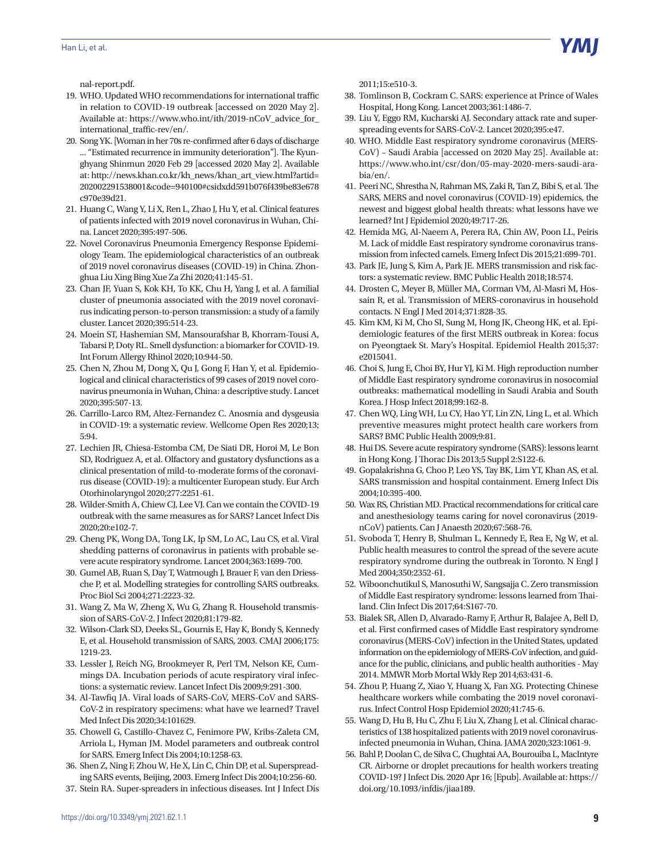

[nal-report.pdf](https://www.who.int/docs/default-source/coronaviruse/who-china-joint-mission-on-covid-19-final-report.pdf).

- 19. WHO. Updated WHO recommendations for international traffic in relation to COVID-19 outbreak [accessed on 2020 May 2]. Available at: [https://www.who.int/ith/2019-nCoV\\_advice\\_for\\_](https://www.who.int/ith/2019-nCoV_advice_for_international_traffic-rev/en/) [international\\_traffic-rev/en/](https://www.who.int/ith/2019-nCoV_advice_for_international_traffic-rev/en/).
- 20. Song YK. [Woman in her 70s re-confirmed after 6 days of discharge ... "Estimated recurrence in immunity deterioration"]. The Kyunghyang Shinmun 2020 Feb 29 [accessed 2020 May 2]. Available at: [http://news.khan.co.kr/kh\\_news/khan\\_art\\_view.html?artid=](http://news.khan.co.kr/kh_news/khan_art_view.html?artid=202002291538001&code=940100#csidxdd591b076f439be83e678c970e39d21) [202002291538001&code=940100#csidxdd591b076f439be83e678](http://news.khan.co.kr/kh_news/khan_art_view.html?artid=202002291538001&code=940100#csidxdd591b076f439be83e678c970e39d21) [c970e39d21.](http://news.khan.co.kr/kh_news/khan_art_view.html?artid=202002291538001&code=940100#csidxdd591b076f439be83e678c970e39d21)
- 21. Huang C, Wang Y, Li X, Ren L, Zhao J, Hu Y, et al. Clinical features of patients infected with 2019 novel coronavirus in Wuhan, China. Lancet 2020;395:497-506.
- 22. Novel Coronavirus Pneumonia Emergency Response Epidemiology Team. The epidemiological characteristics of an outbreak of 2019 novel coronavirus diseases (COVID-19) in China. Zhonghua Liu Xing Bing Xue Za Zhi 2020;41:145-51.
- 23. Chan JF, Yuan S, Kok KH, To KK, Chu H, Yang J, et al. A familial cluster of pneumonia associated with the 2019 novel coronavirus indicating person-to-person transmission: a study of a family cluster. Lancet 2020;395:514-23.
- 24. Moein ST, Hashemian SM, Mansourafshar B, Khorram-Tousi A, Tabarsi P, Doty RL. Smell dysfunction: a biomarker for COVID-19. Int Forum Allergy Rhinol 2020;10:944-50.
- 25. Chen N, Zhou M, Dong X, Qu J, Gong F, Han Y, et al. Epidemiological and clinical characteristics of 99 cases of 2019 novel coronavirus pneumonia in Wuhan, China: a descriptive study. Lancet 2020;395:507-13.
- 26. Carrillo-Larco RM, Altez-Fernandez C. Anosmia and dysgeusia in COVID-19: a systematic review. Wellcome Open Res 2020;13; 5:94.
- 27. Lechien JR, Chiesa-Estomba CM, De Siati DR, Horoi M, Le Bon SD, Rodriguez A, et al. Olfactory and gustatory dysfunctions as a clinical presentation of mild-to-moderate forms of the coronavirus disease (COVID-19): a multicenter European study. Eur Arch Otorhinolaryngol 2020;277:2251-61.
- 28. Wilder-Smith A, Chiew CJ, Lee VJ. Can we contain the COVID-19 outbreak with the same measures as for SARS? Lancet Infect Dis 2020;20:e102-7.
- 29. Cheng PK, Wong DA, Tong LK, Ip SM, Lo AC, Lau CS, et al. Viral shedding patterns of coronavirus in patients with probable severe acute respiratory syndrome. Lancet 2004;363:1699-700.
- 30. Gumel AB, Ruan S, Day T, Watmough J, Brauer F, van den Driessche P, et al. Modelling strategies for controlling SARS outbreaks. Proc Biol Sci 2004;271:2223-32.
- 31. Wang Z, Ma W, Zheng X, Wu G, Zhang R. Household transmission of SARS-CoV-2. J Infect 2020;81:179-82.
- 32. Wilson-Clark SD, Deeks SL, Gournis E, Hay K, Bondy S, Kennedy E, et al. Household transmission of SARS, 2003. CMAJ 2006;175: 1219-23.
- 33. Lessler J, Reich NG, Brookmeyer R, Perl TM, Nelson KE, Cummings DA. Incubation periods of acute respiratory viral infections: a systematic review. Lancet Infect Dis 2009;9:291-300.
- 34. Al-Tawfiq JA. Viral loads of SARS-CoV, MERS-CoV and SARS-CoV-2 in respiratory specimens: what have we learned? Travel Med Infect Dis 2020;34:101629.
- 35. Chowell G, Castillo-Chavez C, Fenimore PW, Kribs-Zaleta CM, Arriola L, Hyman JM. Model parameters and outbreak control for SARS. Emerg Infect Dis 2004;10:1258-63.
- 36. Shen Z, Ning F, Zhou W, He X, Lin C, Chin DP, et al. Superspreading SARS events, Beijing, 2003. Emerg Infect Dis 2004;10:256-60.
- 37. Stein RA. Super-spreaders in infectious diseases. Int J Infect Dis

2011;15:e510-3.

- 38. Tomlinson B, Cockram C. SARS: experience at Prince of Wales Hospital, Hong Kong. Lancet 2003;361:1486-7.
- 39. Liu Y, Eggo RM, Kucharski AJ. Secondary attack rate and superspreading events for SARS-CoV-2. Lancet 2020;395:e47.
- 40. WHO. Middle East respiratory syndrome coronavirus (MERS-CoV) – Saudi Arabia [accessed on 2020 May 25]. Available at: [https://www.who.int/csr/don/05-may-2020-mers-saudi-ara](https://www.who.int/csr/don/05-may-2020-mers-saudi-arabia/en/)[bia/en/](https://www.who.int/csr/don/05-may-2020-mers-saudi-arabia/en/).
- 41. Peeri NC, Shrestha N, Rahman MS, Zaki R, Tan Z, Bibi S, et al. The SARS, MERS and novel coronavirus (COVID-19) epidemics, the newest and biggest global health threats: what lessons have we learned? Int J Epidemiol 2020;49:717-26.
- 42. Hemida MG, Al-Naeem A, Perera RA, Chin AW, Poon LL, Peiris M. Lack of middle East respiratory syndrome coronavirus transmission from infected camels. Emerg Infect Dis 2015;21:699-701.
- 43. Park JE, Jung S, Kim A, Park JE. MERS transmission and risk factors: a systematic review. BMC Public Health 2018;18:574.
- 44. Drosten C, Meyer B, Müller MA, Corman VM, Al-Masri M, Hossain R, et al. Transmission of MERS-coronavirus in household contacts. N Engl J Med 2014;371:828-35.
- 45. Kim KM, Ki M, Cho SI, Sung M, Hong JK, Cheong HK, et al. Epidemiologic features of the first MERS outbreak in Korea: focus on Pyeongtaek St. Mary's Hospital. Epidemiol Health 2015;37: e2015041.
- 46. Choi S, Jung E, Choi BY, Hur YJ, Ki M. High reproduction number of Middle East respiratory syndrome coronavirus in nosocomial outbreaks: mathematical modelling in Saudi Arabia and South Korea. J Hosp Infect 2018;99:162-8.
- 47. Chen WQ, Ling WH, Lu CY, Hao YT, Lin ZN, Ling L, et al. Which preventive measures might protect health care workers from SARS? BMC Public Health 2009;9:81.
- 48. Hui DS. Severe acute respiratory syndrome (SARS): lessons learnt in Hong Kong. J Thorac Dis 2013;5 Suppl 2:S122-6.
- 49. Gopalakrishna G, Choo P, Leo YS, Tay BK, Lim YT, Khan AS, et al. SARS transmission and hospital containment. Emerg Infect Dis 2004;10:395-400.
- 50. Wax RS, Christian MD. Practical recommendations for critical care and anesthesiology teams caring for novel coronavirus (2019 nCoV) patients. Can J Anaesth 2020;67:568-76.
- 51. Svoboda T, Henry B, Shulman L, Kennedy E, Rea E, Ng W, et al. Public health measures to control the spread of the severe acute respiratory syndrome during the outbreak in Toronto. N Engl J Med 2004;350:2352-61.
- 52. Wiboonchutikul S, Manosuthi W, Sangsajja C. Zero transmission of Middle East respiratory syndrome: lessons learned from Thailand. Clin Infect Dis 2017;64:S167-70.
- 53. Bialek SR, Allen D, Alvarado-Ramy F, Arthur R, Balajee A, Bell D, et al. First confirmed cases of Middle East respiratory syndrome coronavirus (MERS-CoV) infection in the United States, updated information on the epidemiology of MERS-CoV infection, and guidance for the public, clinicians, and public health authorities - May 2014. MMWR Morb Mortal Wkly Rep 2014;63:431-6.
- 54. Zhou P, Huang Z, Xiao Y, Huang X, Fan XG. Protecting Chinese healthcare workers while combating the 2019 novel coronavirus. Infect Control Hosp Epidemiol 2020;41:745-6.
- 55. Wang D, Hu B, Hu C, Zhu F, Liu X, Zhang J, et al. Clinical characteristics of 138 hospitalized patients with 2019 novel coronavirusinfected pneumonia in Wuhan, China. JAMA 2020;323:1061-9.
- 56. Bahl P, Doolan C, de Silva C, Chughtai AA, Bourouiba L, MacIntyre CR. Airborne or droplet precautions for health workers treating COVID-19? J Infect Dis. 2020 Apr 16; [Epub]. Available at: [https://](https://doi.org/10.1093/infdis/jiaa189) [doi.org/10.1093/infdis/jiaa189.](https://doi.org/10.1093/infdis/jiaa189)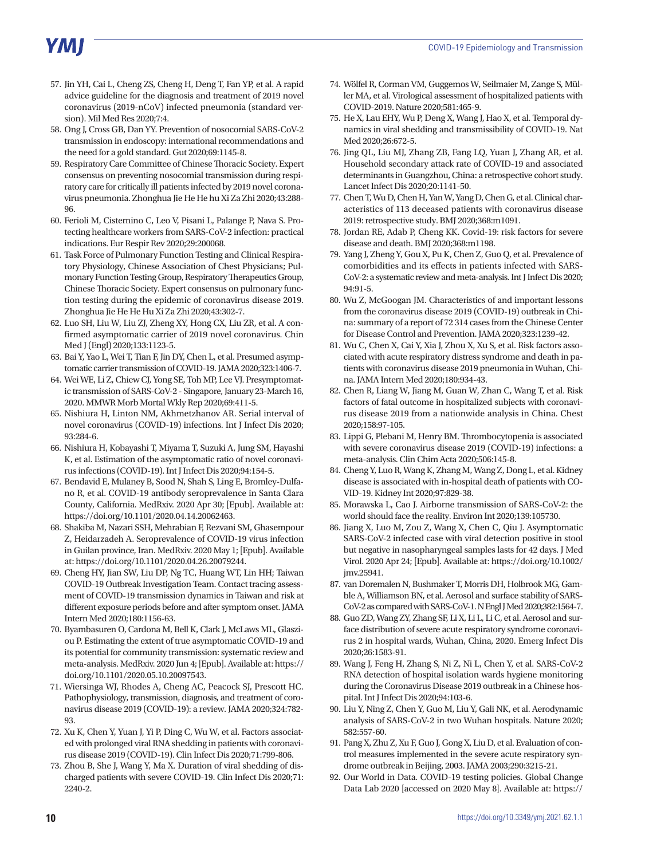# **YMI**

- 57. Jin YH, Cai L, Cheng ZS, Cheng H, Deng T, Fan YP, et al. A rapid advice guideline for the diagnosis and treatment of 2019 novel coronavirus (2019-nCoV) infected pneumonia (standard version). Mil Med Res 2020;7:4.
- 58. Ong J, Cross GB, Dan YY. Prevention of nosocomial SARS-CoV-2 transmission in endoscopy: international recommendations and the need for a gold standard. Gut 2020;69:1145-8.
- 59. Respiratory Care Committee of Chinese Thoracic Society. Expert consensus on preventing nosocomial transmission during respiratory care for critically ill patients infected by 2019 novel coronavirus pneumonia. Zhonghua Jie He He hu Xi Za Zhi 2020;43:288- 96.
- 60. Ferioli M, Cisternino C, Leo V, Pisani L, Palange P, Nava S. Protecting healthcare workers from SARS-CoV-2 infection: practical indications. Eur Respir Rev 2020;29:200068.
- 61. Task Force of Pulmonary Function Testing and Clinical Respiratory Physiology, Chinese Association of Chest Physicians; Pulmonary Function Testing Group, Respiratory Therapeutics Group, Chinese Thoracic Society. Expert consensus on pulmonary function testing during the epidemic of coronavirus disease 2019. Zhonghua Jie He He Hu Xi Za Zhi 2020;43:302-7.
- 62. Luo SH, Liu W, Liu ZJ, Zheng XY, Hong CX, Liu ZR, et al. A confirmed asymptomatic carrier of 2019 novel coronavirus. Chin Med J (Engl) 2020;133:1123-5.
- 63. Bai Y, Yao L, Wei T, Tian F, Jin DY, Chen L, et al. Presumed asymptomatic carrier transmission of COVID-19. JAMA 2020;323:1406-7.
- 64. Wei WE, Li Z, Chiew CJ, Yong SE, Toh MP, Lee VJ. Presymptomatic transmission of SARS-CoV-2 - Singapore, January 23-March 16, 2020. MMWR Morb Mortal Wkly Rep 2020;69:411-5.
- 65. Nishiura H, Linton NM, Akhmetzhanov AR. Serial interval of novel coronavirus (COVID-19) infections. Int J Infect Dis 2020; 93:284-6.
- 66. Nishiura H, Kobayashi T, Miyama T, Suzuki A, Jung SM, Hayashi K, et al. Estimation of the asymptomatic ratio of novel coronavirus infections (COVID-19). Int J Infect Dis 2020;94:154-5.
- 67. Bendavid E, Mulaney B, Sood N, Shah S, Ling E, Bromley-Dulfano R, et al. COVID-19 antibody seroprevalence in Santa Clara County, California. MedRxiv. 2020 Apr 30; [Epub]. Available at: <https://doi.org/10.1101/2020.04.14.20062463>.
- 68. Shakiba M, Nazari SSH, Mehrabian F, Rezvani SM, Ghasempour Z, Heidarzadeh A. Seroprevalence of COVID-19 virus infection in Guilan province, Iran. MedRxiv. 2020 May 1; [Epub]. Available at: [https://doi.org/10.1101/2020.04.26.20079244.](https://doi.org/10.1101/2020.04.26.20079244)
- 69. Cheng HY, Jian SW, Liu DP, Ng TC, Huang WT, Lin HH; Taiwan COVID-19 Outbreak Investigation Team. Contact tracing assessment of COVID-19 transmission dynamics in Taiwan and risk at different exposure periods before and after symptom onset. JAMA Intern Med 2020;180:1156-63.
- 70. Byambasuren O, Cardona M, Bell K, Clark J, McLaws ML, Glasziou P. Estimating the extent of true asymptomatic COVID-19 and its potential for community transmission: systematic review and meta-analysis. MedRxiv. 2020 Jun 4; [Epub]. Available at: [https://](https://doi.org/10.1101/2020.05.10.20097543) [doi.org/10.1101/2020.05.10.20097543.](https://doi.org/10.1101/2020.05.10.20097543)
- 71. Wiersinga WJ, Rhodes A, Cheng AC, Peacock SJ, Prescott HC. Pathophysiology, transmission, diagnosis, and treatment of coronavirus disease 2019 (COVID-19): a review. JAMA 2020;324:782- 93.
- 72. Xu K, Chen Y, Yuan J, Yi P, Ding C, Wu W, et al. Factors associated with prolonged viral RNA shedding in patients with coronavirus disease 2019 (COVID-19). Clin Infect Dis 2020;71:799-806.
- 73. Zhou B, She J, Wang Y, Ma X. Duration of viral shedding of discharged patients with severe COVID-19. Clin Infect Dis 2020;71: 2240-2.
- 74. Wölfel R, Corman VM, Guggemos W, Seilmaier M, Zange S, Müller MA, et al. Virological assessment of hospitalized patients with COVID-2019. Nature 2020;581:465-9.
- 75. He X, Lau EHY, Wu P, Deng X, Wang J, Hao X, et al. Temporal dynamics in viral shedding and transmissibility of COVID-19. Nat Med 2020;26:672-5.
- 76. Jing QL, Liu MJ, Zhang ZB, Fang LQ, Yuan J, Zhang AR, et al. Household secondary attack rate of COVID-19 and associated determinants in Guangzhou, China: a retrospective cohort study. Lancet Infect Dis 2020;20:1141-50.
- 77. Chen T, Wu D, Chen H, Yan W, Yang D, Chen G, et al. Clinical characteristics of 113 deceased patients with coronavirus disease 2019: retrospective study. BMJ 2020;368:m1091.
- 78. Jordan RE, Adab P, Cheng KK. Covid-19: risk factors for severe disease and death. BMJ 2020;368:m1198.
- 79. Yang J, Zheng Y, Gou X, Pu K, Chen Z, Guo Q, et al. Prevalence of comorbidities and its effects in patients infected with SARS-CoV-2: a systematic review and meta-analysis. Int J Infect Dis 2020; 94:91-5.
- 80. Wu Z, McGoogan JM. Characteristics of and important lessons from the coronavirus disease 2019 (COVID-19) outbreak in China: summary of a report of 72 314 cases from the Chinese Center for Disease Control and Prevention. JAMA 2020;323:1239-42.
- 81. Wu C, Chen X, Cai Y, Xia J, Zhou X, Xu S, et al. Risk factors associated with acute respiratory distress syndrome and death in patients with coronavirus disease 2019 pneumonia in Wuhan, China. JAMA Intern Med 2020;180:934-43.
- 82. Chen R, Liang W, Jiang M, Guan W, Zhan C, Wang T, et al. Risk factors of fatal outcome in hospitalized subjects with coronavirus disease 2019 from a nationwide analysis in China. Chest 2020;158:97-105.
- 83. Lippi G, Plebani M, Henry BM. Thrombocytopenia is associated with severe coronavirus disease 2019 (COVID-19) infections: a meta-analysis. Clin Chim Acta 2020;506:145-8.
- 84. Cheng Y, Luo R, Wang K, Zhang M, Wang Z, Dong L, et al. Kidney disease is associated with in-hospital death of patients with CO-VID-19. Kidney Int 2020;97:829-38.
- 85. Morawska L, Cao J. Airborne transmission of SARS-CoV-2: the world should face the reality. Environ Int 2020;139:105730.
- 86. Jiang X, Luo M, Zou Z, Wang X, Chen C, Qiu J. Asymptomatic SARS-CoV-2 infected case with viral detection positive in stool but negative in nasopharyngeal samples lasts for 42 days. J Med Virol. 2020 Apr 24; [Epub]. Available at: [https://doi.org/10.1002/](https://doi.org/10.1002/jmv.25941) [jmv.25941](https://doi.org/10.1002/jmv.25941).
- 87. van Doremalen N, Bushmaker T, Morris DH, Holbrook MG, Gamble A, Williamson BN, et al. Aerosol and surface stability of SARS-CoV-2 as compared with SARS-CoV-1. N Engl J Med 2020;382:1564-7.
- 88. Guo ZD, Wang ZY, Zhang SF, Li X, Li L, Li C, et al. Aerosol and surface distribution of severe acute respiratory syndrome coronavirus 2 in hospital wards, Wuhan, China, 2020. Emerg Infect Dis 2020;26:1583-91.
- 89. Wang J, Feng H, Zhang S, Ni Z, Ni L, Chen Y, et al. SARS-CoV-2 RNA detection of hospital isolation wards hygiene monitoring during the Coronavirus Disease 2019 outbreak in a Chinese hospital. Int J Infect Dis 2020;94:103-6.
- 90. Liu Y, Ning Z, Chen Y, Guo M, Liu Y, Gali NK, et al. Aerodynamic analysis of SARS-CoV-2 in two Wuhan hospitals. Nature 2020; 582:557-60.
- 91. Pang X, Zhu Z, Xu F, Guo J, Gong X, Liu D, et al. Evaluation of control measures implemented in the severe acute respiratory syndrome outbreak in Beijing, 2003. JAMA 2003;290:3215-21.
- 92. Our World in Data. COVID-19 testing policies. Global Change Data Lab 2020 [accessed on 2020 May 8]. Available at: [https://](https://ourworldindata.org/grapher/covid-19-testing-policy?year= 2020-04-29)